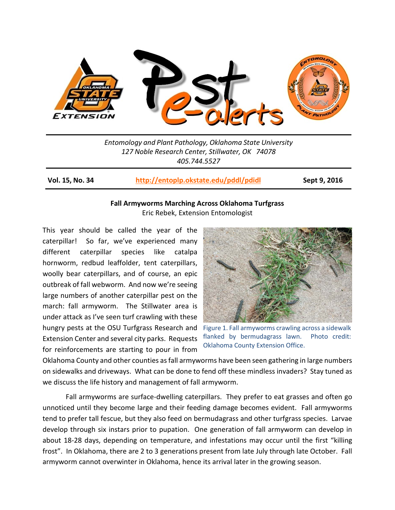

*Entomology and Plant Pathology, Oklahoma State University 127 Noble Research Center, Stillwater, OK 74078 405.744.5527*

**Vol. 15, No. 34 <http://entoplp.okstate.edu/pddl/pdidl> Sept 9, 2016**

## **Fall Armyworms Marching Across Oklahoma Turfgrass** Eric Rebek, Extension Entomologist

This year should be called the year of the caterpillar! So far, we've experienced many different caterpillar species like catalpa hornworm, redbud leaffolder, tent caterpillars, woolly bear caterpillars, and of course, an epic outbreak of fall webworm. And now we're seeing large numbers of another caterpillar pest on the march: fall armyworm. The Stillwater area is under attack as I've seen turf crawling with these hungry pests at the OSU Turfgrass Research and Extension Center and several city parks. Requests for reinforcements are starting to pour in from



Figure 1. Fall armyworms crawling across a sidewalk flanked by bermudagrass lawn. Photo credit: Oklahoma County Extension Office.

Oklahoma County and other counties as fall armyworms have been seen gathering in large numbers on sidewalks and driveways. What can be done to fend off these mindless invaders? Stay tuned as we discuss the life history and management of fall armyworm.

Fall armyworms are surface-dwelling caterpillars. They prefer to eat grasses and often go unnoticed until they become large and their feeding damage becomes evident. Fall armyworms tend to prefer tall fescue, but they also feed on bermudagrass and other turfgrass species. Larvae develop through six instars prior to pupation. One generation of fall armyworm can develop in about 18-28 days, depending on temperature, and infestations may occur until the first "killing frost". In Oklahoma, there are 2 to 3 generations present from late July through late October. Fall armyworm cannot overwinter in Oklahoma, hence its arrival later in the growing season.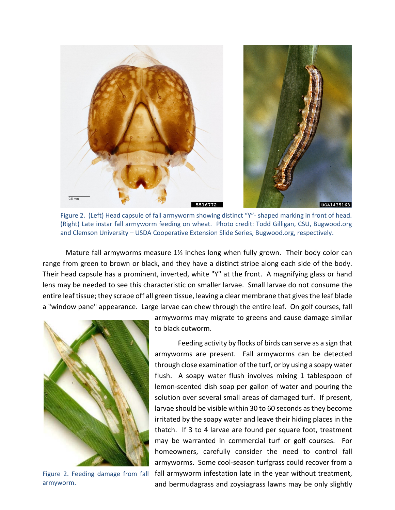

Figure 2. (Left) Head capsule of fall armyworm showing distinct "Y"- shaped marking in front of head. (Right) Late instar fall armyworm feeding on wheat. Photo credit: Todd Gilligan, CSU, Bugwood.org and Clemson University – USDA Cooperative Extension Slide Series, Bugwood.org, respectively.

Mature fall armyworms measure 1½ inches long when fully grown. Their body color can range from green to brown or black, and they have a distinct stripe along each side of the body. Their head capsule has a prominent, inverted, white "Y" at the front. A magnifying glass or hand lens may be needed to see this characteristic on smaller larvae. Small larvae do not consume the entire leaf tissue; they scrape off all green tissue, leaving a clear membrane that gives the leaf blade a "window pane" appearance. Large larvae can chew through the entire leaf. On golf courses, fall



Figure 2. Feeding damage from fall armyworm.

armyworms may migrate to greens and cause damage similar to black cutworm.

Feeding activity by flocks of birds can serve as a sign that armyworms are present. Fall armyworms can be detected through close examination of the turf, or by using a soapy water flush. A soapy water flush involves mixing 1 tablespoon of lemon-scented dish soap per gallon of water and pouring the solution over several small areas of damaged turf. If present, larvae should be visible within 30 to 60 seconds as they become irritated by the soapy water and leave their hiding places in the thatch. If 3 to 4 larvae are found per square foot, treatment may be warranted in commercial turf or golf courses. For homeowners, carefully consider the need to control fall armyworms. Some cool-season turfgrass could recover from a fall armyworm infestation late in the year without treatment, and bermudagrass and zoysiagrass lawns may be only slightly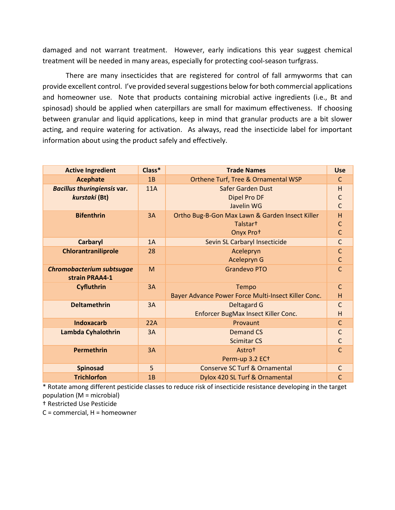damaged and not warrant treatment. However, early indications this year suggest chemical treatment will be needed in many areas, especially for protecting cool-season turfgrass.

There are many insecticides that are registered for control of fall armyworms that can provide excellent control. I've provided several suggestions below for both commercial applications and homeowner use. Note that products containing microbial active ingredients (i.e., Bt and spinosad) should be applied when caterpillars are small for maximum effectiveness. If choosing between granular and liquid applications, keep in mind that granular products are a bit slower acting, and require watering for activation. As always, read the insecticide label for important information about using the product safely and effectively.

| <b>Active Ingredient</b>                            | Class*     | <b>Trade Names</b>                                                      | <b>Use</b>        |
|-----------------------------------------------------|------------|-------------------------------------------------------------------------|-------------------|
| <b>Acephate</b>                                     | 1B         | Orthene Turf, Tree & Ornamental WSP                                     | $\mathsf{C}$      |
| <b>Bacillus thuringiensis var.</b><br>kurstaki (Bt) | <b>11A</b> | <b>Safer Garden Dust</b><br><b>Dipel Pro DF</b>                         | H<br>$\mathsf{C}$ |
|                                                     |            | Javelin WG                                                              | $\mathsf{C}$      |
| <b>Bifenthrin</b>                                   | 3A         | Ortho Bug-B-Gon Max Lawn & Garden Insect Killer<br>Talstar <sup>+</sup> | H                 |
|                                                     |            | Onyx Prot                                                               | $rac{C}{C}$       |
| <b>Carbaryl</b>                                     | 1A         | Sevin SL Carbaryl Insecticide                                           |                   |
| Chlorantraniliprole                                 | 28         | Acelepryn<br>Acelepryn G                                                | $\overline{c}$    |
| Chromobacterium subtsugae<br>strain PRAA4-1         | M          | <b>Grandevo PTO</b>                                                     | $\mathsf{C}$      |
| <b>Cyfluthrin</b>                                   | 3A         | Tempo<br>Bayer Advance Power Force Multi-Insect Killer Conc.            | $\mathsf{C}$<br>H |
| <b>Deltamethrin</b>                                 | 3A         | <b>Deltagard G</b><br>Enforcer BugMax Insect Killer Conc.               | $\mathsf C$<br>H  |
| <b>Indoxacarb</b>                                   | 22A        | Provaunt                                                                | $\mathsf C$       |
| Lambda Cyhalothrin                                  | 3A         | <b>Demand CS</b><br><b>Scimitar CS</b>                                  | $\overline{C}$    |
| <b>Permethrin</b>                                   | 3A         | Astrot<br>Perm-up 3.2 EC+                                               | $\mathsf{C}$      |
| <b>Spinosad</b>                                     | 5          | <b>Conserve SC Turf &amp; Ornamental</b>                                | $\mathsf C$       |
| <b>Trichlorfon</b>                                  | 1B         | Dylox 420 SL Turf & Ornamental                                          | $\mathsf{C}$      |

\* Rotate among different pesticide classes to reduce risk of insecticide resistance developing in the target population (M = microbial)

† Restricted Use Pesticide

C = commercial, H = homeowner